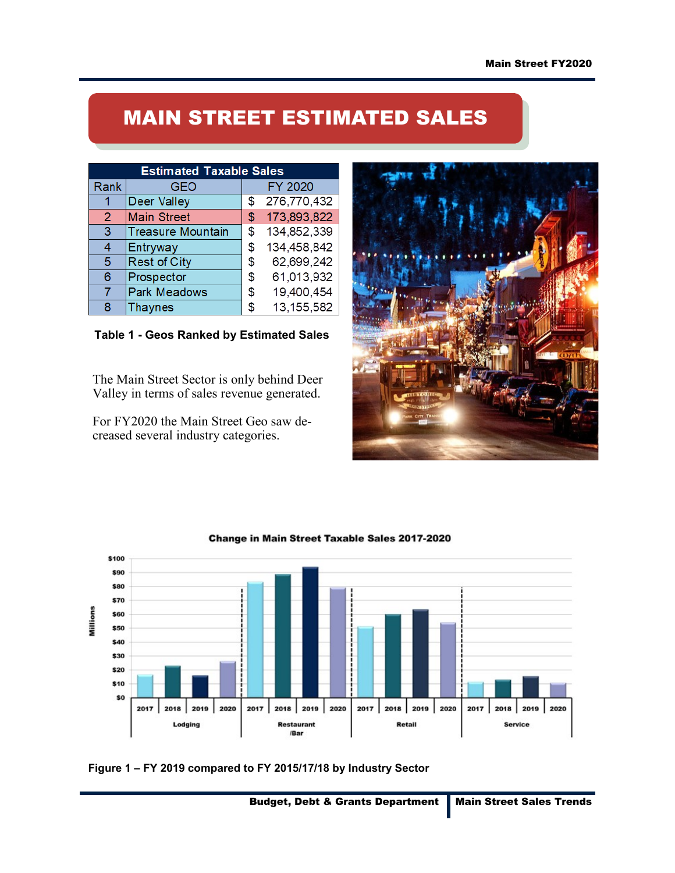## MAIN STREET ESTIMATED SALES

| <b>Estimated Taxable Sales</b> |                          |    |              |  |
|--------------------------------|--------------------------|----|--------------|--|
| Rank                           | <b>GEO</b>               |    | FY 2020      |  |
|                                | <b>Deer Valley</b>       | \$ | 276,770,432  |  |
| $\overline{2}$                 | <b>Main Street</b>       | \$ | 173,893,822  |  |
| 3                              | <b>Treasure Mountain</b> | \$ | 134,852,339  |  |
| 4                              | Entryway                 | \$ | 134,458,842  |  |
| 5                              | <b>Rest of City</b>      | S  | 62,699,242   |  |
| 6                              | Prospector               | \$ | 61,013,932   |  |
| 7                              | <b>Park Meadows</b>      | \$ | 19,400,454   |  |
| 8                              | <b>Thaynes</b>           | S  | 13, 155, 582 |  |

Table 1 - Geos Ranked by Estimated Sales

The Main Street Sector is only behind Deer Valley in terms of sales revenue generated.

For FY2020 the Main Street Geo saw decreased several industry categories.





Change in Main Street Taxable Sales 2017-2020

Figure 1 – FY 2019 compared to FY 2015/17/18 by Industry Sector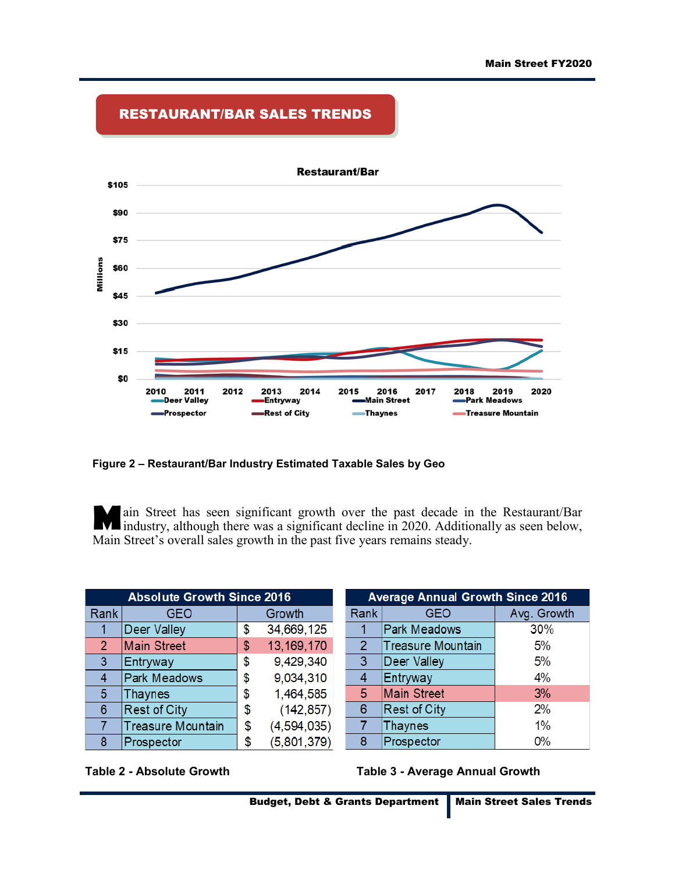

## RESTAURANT/BAR SALES TRENDS

Figure 2 – Restaurant/Bar Industry Estimated Taxable Sales by Geo

Main Street has seen significant growth over the past decade in the Restaurant/Bar industry, although there was a significant decline in 2020. Additionally as seen below, Main Street's overall sales growth in the past five years remains steady.

| <b>Absolute Growth Since 2016</b> |                          |    |             |  |
|-----------------------------------|--------------------------|----|-------------|--|
| Rank                              | <b>GEO</b>               |    | Growth      |  |
|                                   | <b>Deer Valley</b>       | \$ | 34,669,125  |  |
| $\overline{2}$                    | <b>Main Street</b>       | \$ | 13,169,170  |  |
| 3                                 | Entryway                 | \$ | 9,429,340   |  |
| 4                                 | <b>Park Meadows</b>      | \$ | 9,034,310   |  |
| 5 <sup>5</sup>                    | <b>Thaynes</b>           | \$ | 1,464,585   |  |
| 6                                 | <b>Rest of City</b>      | \$ | (142, 857)  |  |
| 7                                 | <b>Treasure Mountain</b> | \$ | (4,594,035) |  |
| 8                                 | Prospector               | \$ | (5,801,379) |  |

| <b>Average Annual Growth Since 2016</b> |                          |             |  |  |
|-----------------------------------------|--------------------------|-------------|--|--|
| Rank                                    | <b>GEO</b>               | Avg. Growth |  |  |
|                                         | <b>Park Meadows</b>      | 30%         |  |  |
| $\overline{2}$                          | <b>Treasure Mountain</b> | 5%          |  |  |
| 3                                       | <b>Deer Valley</b>       | 5%          |  |  |
| $\overline{4}$                          | Entryway                 | 4%          |  |  |
| 5                                       | <b>Main Street</b>       | 3%          |  |  |
| 6                                       | <b>Rest of City</b>      | 2%          |  |  |
| 7                                       | <b>Thaynes</b>           | 1%          |  |  |
| 8                                       | Prospector               | 0%          |  |  |



Table 2 - Absolute Growth Table 3 - Average Annual Growth